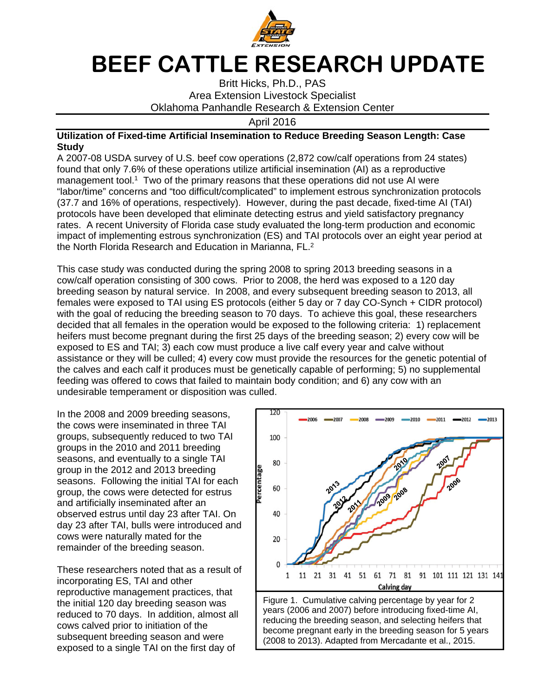

## **BEEF CATTLE RESEARCH UPDATE**

Britt Hicks, Ph.D., PAS Area Extension Livestock Specialist Oklahoma Panhandle Research & Extension Center

April 2016

## **Utilization of Fixed-time Artificial Insemination to Reduce Breeding Season Length: Case Study**

A 2007-08 USDA survey of U.S. beef cow operations (2,872 cow/calf operations from 24 states) found that only 7.6% of these operations utilize artificial insemination (AI) as a reproductive management tool.<sup>1</sup> Two of the primary reasons that these operations did not use AI were "labor/time" concerns and "too difficult/complicated" to implement estrous synchronization protocols (37.7 and 16% of operations, respectively). However, during the past decade, fixed-time AI (TAI) protocols have been developed that eliminate detecting estrus and yield satisfactory pregnancy rates. A recent University of Florida case study evaluated the long-term production and economic impact of implementing estrous synchronization (ES) and TAI protocols over an eight year period at the North Florida Research and Education in Marianna, FL.<sup>2</sup>

This case study was conducted during the spring 2008 to spring 2013 breeding seasons in a cow/calf operation consisting of 300 cows. Prior to 2008, the herd was exposed to a 120 day breeding season by natural service. In 2008, and every subsequent breeding season to 2013, all females were exposed to TAI using ES protocols (either 5 day or 7 day CO-Synch + CIDR protocol) with the goal of reducing the breeding season to 70 days. To achieve this goal, these researchers decided that all females in the operation would be exposed to the following criteria: 1) replacement heifers must become pregnant during the first 25 days of the breeding season; 2) every cow will be exposed to ES and TAI; 3) each cow must produce a live calf every year and calve without assistance or they will be culled; 4) every cow must provide the resources for the genetic potential of the calves and each calf it produces must be genetically capable of performing; 5) no supplemental feeding was offered to cows that failed to maintain body condition; and 6) any cow with an undesirable temperament or disposition was culled.

In the 2008 and 2009 breeding seasons, the cows were inseminated in three TAI groups, subsequently reduced to two TAI groups in the 2010 and 2011 breeding seasons, and eventually to a single TAI group in the 2012 and 2013 breeding seasons. Following the initial TAI for each group, the cows were detected for estrus and artificially inseminated after an observed estrus until day 23 after TAI. On day 23 after TAI, bulls were introduced and cows were naturally mated for the remainder of the breeding season.

These researchers noted that as a result of incorporating ES, TAI and other reproductive management practices, that the initial 120 day breeding season was reduced to 70 days. In addition, almost all cows calved prior to initiation of the subsequent breeding season and were exposed to a single TAI on the first day of